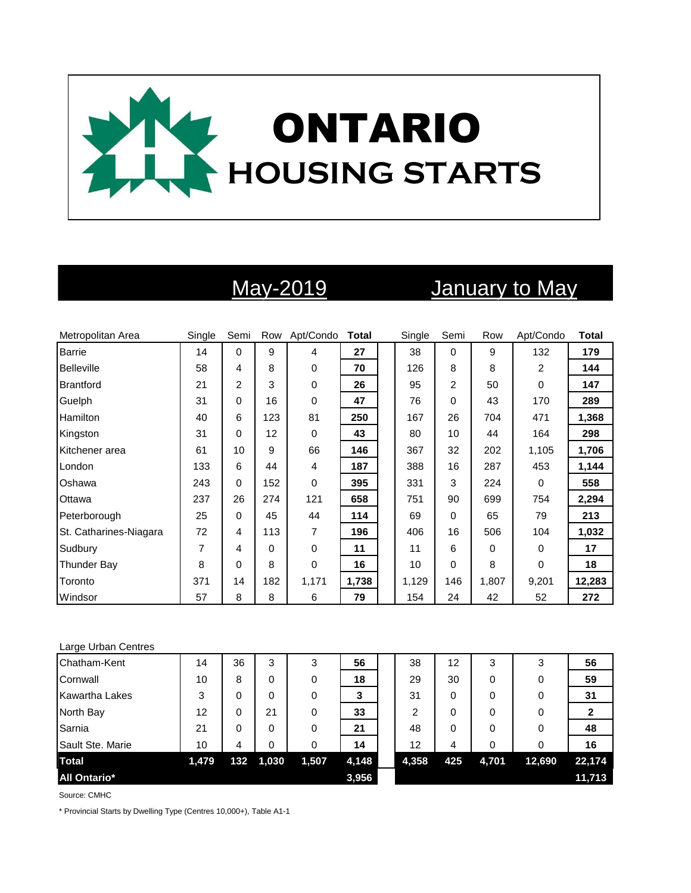

# May-2019 January to May

| Metropolitan Area      | Single | Semi     |          | Row Apt/Condo | <b>Total</b> | Single | Semi | Row   | Apt/Condo | <b>Total</b> |
|------------------------|--------|----------|----------|---------------|--------------|--------|------|-------|-----------|--------------|
| <b>Barrie</b>          | 14     | $\Omega$ | 9        | 4             | 27           | 38     | 0    | 9     | 132       | 179          |
| <b>Belleville</b>      | 58     | 4        | 8        | 0             | 70           | 126    | 8    | 8     | 2         | 144          |
| <b>Brantford</b>       | 21     | 2        | 3        | 0             | 26           | 95     | 2    | 50    | $\Omega$  | 147          |
| Guelph                 | 31     | 0        | 16       | 0             | 47           | 76     | 0    | 43    | 170       | 289          |
| Hamilton               | 40     | 6        | 123      | 81            | 250          | 167    | 26   | 704   | 471       | 1,368        |
| Kingston               | 31     | $\Omega$ | 12       | $\Omega$      | 43           | 80     | 10   | 44    | 164       | 298          |
| Kitchener area         | 61     | 10       | 9        | 66            | 146          | 367    | 32   | 202   | 1,105     | 1,706        |
| London                 | 133    | 6        | 44       | 4             | 187          | 388    | 16   | 287   | 453       | 1,144        |
| Oshawa                 | 243    | 0        | 152      | 0             | 395          | 331    | 3    | 224   | $\Omega$  | 558          |
| Ottawa                 | 237    | 26       | 274      | 121           | 658          | 751    | 90   | 699   | 754       | 2,294        |
| Peterborough           | 25     | 0        | 45       | 44            | 114          | 69     | 0    | 65    | 79        | 213          |
| St. Catharines-Niagara | 72     | 4        | 113      | 7             | 196          | 406    | 16   | 506   | 104       | 1,032        |
| Sudbury                | 7      | 4        | $\Omega$ | 0             | 11           | 11     | 6    | 0     | 0         | 17           |
| Thunder Bay            | 8      | 0        | 8        | 0             | 16           | 10     | 0    | 8     | $\Omega$  | 18           |
| Toronto                | 371    | 14       | 182      | 1,171         | 1,738        | 1,129  | 146  | 1,807 | 9,201     | 12,283       |
| Windsor                | 57     | 8        | 8        | 6             | 79           | 154    | 24   | 42    | 52        | 272          |

### Large Urban Centres

| Chatham-Kent          | 14    | 36  | 3     | 3     | 56    | 38    | 12  | 3     | 3      | 56     |
|-----------------------|-------|-----|-------|-------|-------|-------|-----|-------|--------|--------|
| Cornwall              | 10    | 8   | 0     | 0     | 18    | 29    | 30  | 0     | 0      | 59     |
| <b>Kawartha Lakes</b> | 3     | 0   | 0     | 0     | 3     | 31    | 0   | 0     | 0      | 31     |
| North Bay             | 12    | 0   | 21    | 0     | 33    | 2     | 0   | 0     | 0      |        |
| Sarnia                | 21    | 0   | 0     | 0     | 21    | 48    | 0   | 0     | 0      | 48     |
| Sault Ste. Marie      | 10    | 4   | 0     | 0     | 14    | 12    | 4   | 0     | 0      | 16     |
| <b>Total</b>          | 1,479 | 132 | 1,030 | 1,507 | 4,148 | 4,358 | 425 | 4,701 | 12,690 | 22,174 |
| <b>All Ontario*</b>   |       |     |       |       | 3,956 |       |     |       |        | 11,713 |

Source: CMHC

\* Provincial Starts by Dwelling Type (Centres 10,000+), Table A1-1